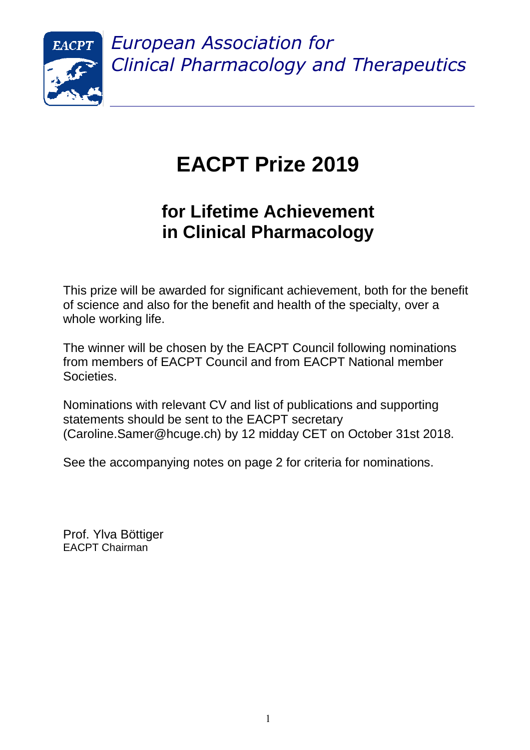

*European Association for Clinical Pharmacology and Therapeutics*

# **EACPT Prize 2019**

## **for Lifetime Achievement in Clinical Pharmacology**

This prize will be awarded for significant achievement, both for the benefit of science and also for the benefit and health of the specialty, over a whole working life.

The winner will be chosen by the EACPT Council following nominations from members of EACPT Council and from EACPT National member Societies.

Nominations with relevant CV and list of publications and supporting statements should be sent to the EACPT secretary (Caroline.Samer@hcuge.ch) by 12 midday CET on October 31st 2018.

See the accompanying notes on page 2 for criteria for nominations.

Prof. Ylva Böttiger EACPT Chairman